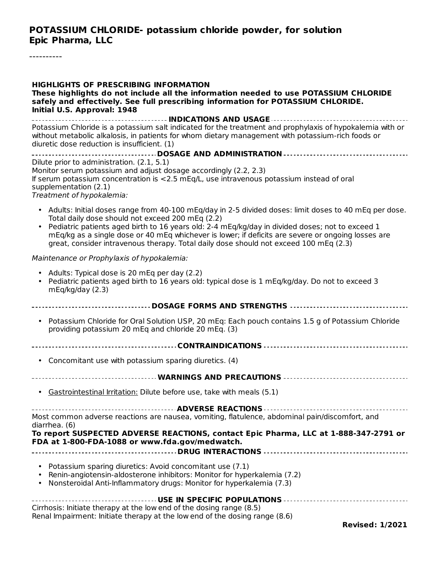----------

| <b>HIGHLIGHTS OF PRESCRIBING INFORMATION</b><br>These highlights do not include all the information needed to use POTASSIUM CHLORIDE<br>safely and effectively. See full prescribing information for POTASSIUM CHLORIDE.<br>Initial U.S. Approval: 1948                                                                                                                                                                                                       |
|---------------------------------------------------------------------------------------------------------------------------------------------------------------------------------------------------------------------------------------------------------------------------------------------------------------------------------------------------------------------------------------------------------------------------------------------------------------|
| Potassium Chloride is a potassium salt indicated for the treatment and prophylaxis of hypokalemia with or<br>without metabolic alkalosis, in patients for whom dietary management with potassium-rich foods or<br>diuretic dose reduction is insufficient. (1)                                                                                                                                                                                                |
| Dilute prior to administration. (2.1, 5.1)<br>Monitor serum potassium and adjust dosage accordingly (2.2, 2.3)<br>If serum potassium concentration is <2.5 mEq/L, use intravenous potassium instead of oral<br>supplementation (2.1)<br>Treatment of hypokalemia:                                                                                                                                                                                             |
| • Adults: Initial doses range from 40-100 mEq/day in 2-5 divided doses: limit doses to 40 mEq per dose.<br>Total daily dose should not exceed 200 mEq (2.2)<br>Pediatric patients aged birth to 16 years old: 2-4 mEq/kg/day in divided doses; not to exceed 1<br>mEq/kg as a single dose or 40 mEq whichever is lower; if deficits are severe or ongoing losses are<br>great, consider intravenous therapy. Total daily dose should not exceed 100 mEq (2.3) |
| Maintenance or Prophylaxis of hypokalemia:                                                                                                                                                                                                                                                                                                                                                                                                                    |
| • Adults: Typical dose is 20 mEq per day (2.2)<br>• Pediatric patients aged birth to 16 years old: typical dose is 1 mEq/kg/day. Do not to exceed 3<br>mEq/kg/day (2.3)                                                                                                                                                                                                                                                                                       |
| ----------------------------- DOSAGE FORMS AND STRENGTHS ------------------------------                                                                                                                                                                                                                                                                                                                                                                       |
| • Potassium Chloride for Oral Solution USP, 20 mEq: Each pouch contains 1.5 g of Potassium Chloride<br>providing potassium 20 mEq and chloride 20 mEq. (3)                                                                                                                                                                                                                                                                                                    |
|                                                                                                                                                                                                                                                                                                                                                                                                                                                               |
| Concomitant use with potassium sparing diuretics. (4)<br>$\bullet$                                                                                                                                                                                                                                                                                                                                                                                            |
|                                                                                                                                                                                                                                                                                                                                                                                                                                                               |
| • Gastrointestinal Irritation: Dilute before use, take with meals (5.1)                                                                                                                                                                                                                                                                                                                                                                                       |
| Most common adverse reactions are nausea, vomiting, flatulence, abdominal pain/discomfort, and<br>diarrhea. (6)                                                                                                                                                                                                                                                                                                                                               |
| To report SUSPECTED ADVERSE REACTIONS, contact Epic Pharma, LLC at 1-888-347-2791 or<br>FDA at 1-800-FDA-1088 or www.fda.gov/medwatch.                                                                                                                                                                                                                                                                                                                        |
| • Potassium sparing diuretics: Avoid concomitant use (7.1)<br>. Renin-angiotensin-aldosterone inhibitors: Monitor for hyperkalemia (7.2)<br>• Nonsteroidal Anti-Inflammatory drugs: Monitor for hyperkalemia (7.3)                                                                                                                                                                                                                                            |
| ------------------------------ USE IN SPECIFIC POPULATIONS -----------------------------------<br>Cirrhosis: Initiate therapy at the low end of the dosing range (8.5)<br>Renal Impairment: Initiate therapy at the low end of the dosing range (8.6)<br><b>Revised: 1/2021</b>                                                                                                                                                                               |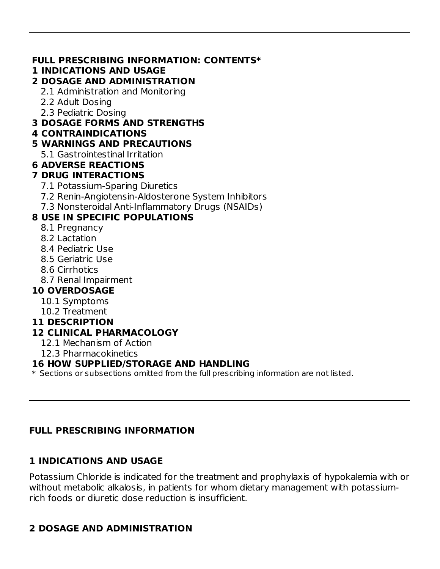### **FULL PRESCRIBING INFORMATION: CONTENTS\***

### **1 INDICATIONS AND USAGE**

### **2 DOSAGE AND ADMINISTRATION**

2.1 Administration and Monitoring

2.2 Adult Dosing

2.3 Pediatric Dosing

### **3 DOSAGE FORMS AND STRENGTHS**

### **4 CONTRAINDICATIONS**

### **5 WARNINGS AND PRECAUTIONS**

5.1 Gastrointestinal Irritation

## **6 ADVERSE REACTIONS**

## **7 DRUG INTERACTIONS**

- 7.1 Potassium-Sparing Diuretics
- 7.2 Renin-Angiotensin-Aldosterone System Inhibitors
- 7.3 Nonsteroidal Anti-Inflammatory Drugs (NSAIDs)

## **8 USE IN SPECIFIC POPULATIONS**

- 8.1 Pregnancy
- 8.2 Lactation
- 8.4 Pediatric Use
- 8.5 Geriatric Use
- 8.6 Cirrhotics
- 8.7 Renal Impairment

## **10 OVERDOSAGE**

- 10.1 Symptoms
- 10.2 Treatment

### **11 DESCRIPTION**

## **12 CLINICAL PHARMACOLOGY**

- 12.1 Mechanism of Action
- 12.3 Pharmacokinetics

### **16 HOW SUPPLIED/STORAGE AND HANDLING**

\* Sections or subsections omitted from the full prescribing information are not listed.

## **FULL PRESCRIBING INFORMATION**

# **1 INDICATIONS AND USAGE**

Potassium Chloride is indicated for the treatment and prophylaxis of hypokalemia with or without metabolic alkalosis, in patients for whom dietary management with potassiumrich foods or diuretic dose reduction is insufficient.

# **2 DOSAGE AND ADMINISTRATION**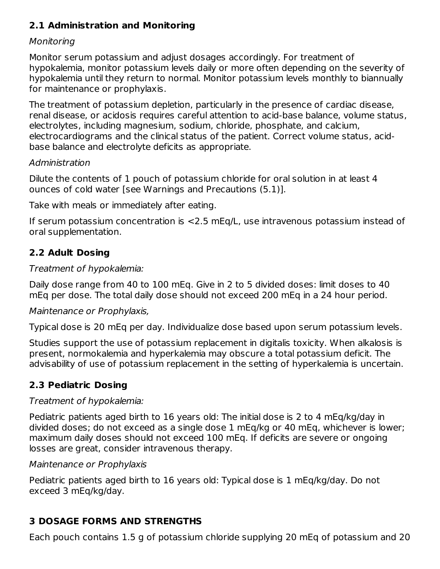## **2.1 Administration and Monitoring**

#### Monitoring

Monitor serum potassium and adjust dosages accordingly. For treatment of hypokalemia, monitor potassium levels daily or more often depending on the severity of hypokalemia until they return to normal. Monitor potassium levels monthly to biannually for maintenance or prophylaxis.

The treatment of potassium depletion, particularly in the presence of cardiac disease, renal disease, or acidosis requires careful attention to acid-base balance, volume status, electrolytes, including magnesium, sodium, chloride, phosphate, and calcium, electrocardiograms and the clinical status of the patient. Correct volume status, acidbase balance and electrolyte deficits as appropriate.

### Administration

Dilute the contents of 1 pouch of potassium chloride for oral solution in at least 4 ounces of cold water [see Warnings and Precautions (5.1)].

Take with meals or immediately after eating.

If serum potassium concentration is <2.5 mEq/L, use intravenous potassium instead of oral supplementation.

# **2.2 Adult Dosing**

### Treatment of hypokalemia:

Daily dose range from 40 to 100 mEq. Give in 2 to 5 divided doses: limit doses to 40 mEq per dose. The total daily dose should not exceed 200 mEq in a 24 hour period.

### Maintenance or Prophylaxis,

Typical dose is 20 mEq per day. Individualize dose based upon serum potassium levels.

Studies support the use of potassium replacement in digitalis toxicity. When alkalosis is present, normokalemia and hyperkalemia may obscure a total potassium deficit. The advisability of use of potassium replacement in the setting of hyperkalemia is uncertain.

# **2.3 Pediatric Dosing**

### Treatment of hypokalemia:

Pediatric patients aged birth to 16 years old: The initial dose is 2 to 4 mEq/kg/day in divided doses; do not exceed as a single dose 1 mEq/kg or 40 mEq, whichever is lower; maximum daily doses should not exceed 100 mEq. If deficits are severe or ongoing losses are great, consider intravenous therapy.

### Maintenance or Prophylaxis

Pediatric patients aged birth to 16 years old: Typical dose is 1 mEq/kg/day. Do not exceed 3 mEq/kg/day.

# **3 DOSAGE FORMS AND STRENGTHS**

Each pouch contains 1.5 g of potassium chloride supplying 20 mEq of potassium and 20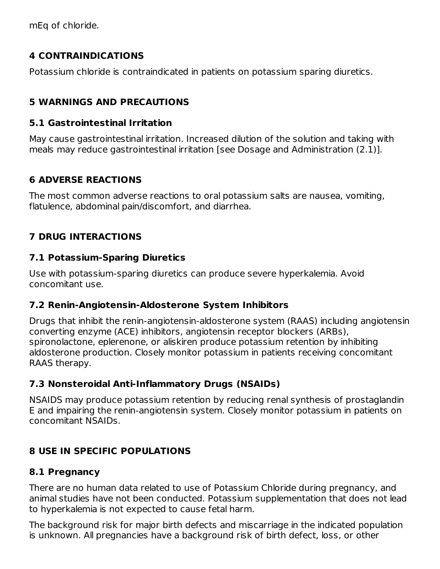mEq of chloride.

## **4 CONTRAINDICATIONS**

Potassium chloride is contraindicated in patients on potassium sparing diuretics.

# **5 WARNINGS AND PRECAUTIONS**

## **5.1 Gastrointestinal Irritation**

May cause gastrointestinal irritation. Increased dilution of the solution and taking with meals may reduce gastrointestinal irritation [see Dosage and Administration (2.1)].

# **6 ADVERSE REACTIONS**

The most common adverse reactions to oral potassium salts are nausea, vomiting, flatulence, abdominal pain/discomfort, and diarrhea.

# **7 DRUG INTERACTIONS**

# **7.1 Potassium-Sparing Diuretics**

Use with potassium-sparing diuretics can produce severe hyperkalemia. Avoid concomitant use.

# **7.2 Renin-Angiotensin-Aldosterone System Inhibitors**

Drugs that inhibit the renin-angiotensin-aldosterone system (RAAS) including angiotensin converting enzyme (ACE) inhibitors, angiotensin receptor blockers (ARBs), spironolactone, eplerenone, or aliskiren produce potassium retention by inhibiting aldosterone production. Closely monitor potassium in patients receiving concomitant RAAS therapy.

# **7.3 Nonsteroidal Anti-Inflammatory Drugs (NSAIDs)**

NSAIDS may produce potassium retention by reducing renal synthesis of prostaglandin E and impairing the renin-angiotensin system. Closely monitor potassium in patients on concomitant NSAIDs.

# **8 USE IN SPECIFIC POPULATIONS**

# **8.1 Pregnancy**

There are no human data related to use of Potassium Chloride during pregnancy, and animal studies have not been conducted. Potassium supplementation that does not lead to hyperkalemia is not expected to cause fetal harm.

The background risk for major birth defects and miscarriage in the indicated population is unknown. All pregnancies have a background risk of birth defect, loss, or other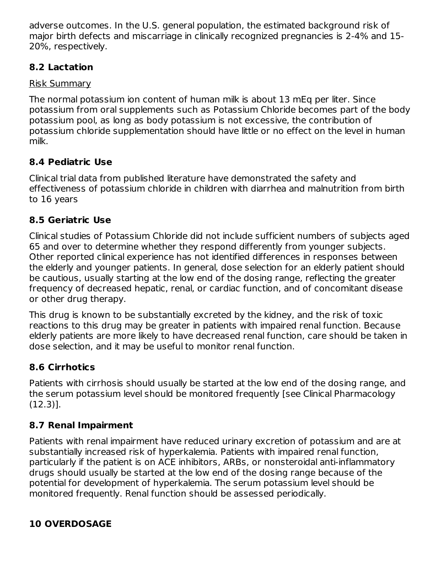adverse outcomes. In the U.S. general population, the estimated background risk of major birth defects and miscarriage in clinically recognized pregnancies is 2-4% and 15- 20%, respectively.

# **8.2 Lactation**

## Risk Summary

The normal potassium ion content of human milk is about 13 mEq per liter. Since potassium from oral supplements such as Potassium Chloride becomes part of the body potassium pool, as long as body potassium is not excessive, the contribution of potassium chloride supplementation should have little or no effect on the level in human milk.

# **8.4 Pediatric Use**

Clinical trial data from published literature have demonstrated the safety and effectiveness of potassium chloride in children with diarrhea and malnutrition from birth to 16 years

# **8.5 Geriatric Use**

Clinical studies of Potassium Chloride did not include sufficient numbers of subjects aged 65 and over to determine whether they respond differently from younger subjects. Other reported clinical experience has not identified differences in responses between the elderly and younger patients. In general, dose selection for an elderly patient should be cautious, usually starting at the low end of the dosing range, reflecting the greater frequency of decreased hepatic, renal, or cardiac function, and of concomitant disease or other drug therapy.

This drug is known to be substantially excreted by the kidney, and the risk of toxic reactions to this drug may be greater in patients with impaired renal function. Because elderly patients are more likely to have decreased renal function, care should be taken in dose selection, and it may be useful to monitor renal function.

# **8.6 Cirrhotics**

Patients with cirrhosis should usually be started at the low end of the dosing range, and the serum potassium level should be monitored frequently [see Clinical Pharmacology (12.3)].

# **8.7 Renal Impairment**

Patients with renal impairment have reduced urinary excretion of potassium and are at substantially increased risk of hyperkalemia. Patients with impaired renal function, particularly if the patient is on ACE inhibitors, ARBs, or nonsteroidal anti-inflammatory drugs should usually be started at the low end of the dosing range because of the potential for development of hyperkalemia. The serum potassium level should be monitored frequently. Renal function should be assessed periodically.

# **10 OVERDOSAGE**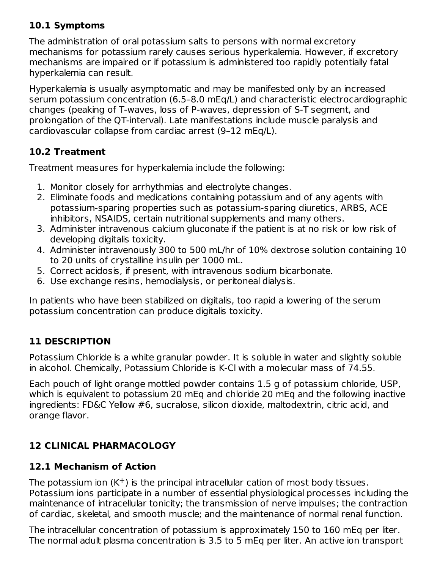## **10.1 Symptoms**

The administration of oral potassium salts to persons with normal excretory mechanisms for potassium rarely causes serious hyperkalemia. However, if excretory mechanisms are impaired or if potassium is administered too rapidly potentially fatal hyperkalemia can result.

Hyperkalemia is usually asymptomatic and may be manifested only by an increased serum potassium concentration (6.5–8.0 mEq/L) and characteristic electrocardiographic changes (peaking of T-waves, loss of P-waves, depression of S-T segment, and prolongation of the QT-interval). Late manifestations include muscle paralysis and cardiovascular collapse from cardiac arrest (9–12 mEq/L).

# **10.2 Treatment**

Treatment measures for hyperkalemia include the following:

- 1. Monitor closely for arrhythmias and electrolyte changes.
- 2. Eliminate foods and medications containing potassium and of any agents with potassium-sparing properties such as potassium-sparing diuretics, ARBS, ACE inhibitors, NSAIDS, certain nutritional supplements and many others.
- 3. Administer intravenous calcium gluconate if the patient is at no risk or low risk of developing digitalis toxicity.
- 4. Administer intravenously 300 to 500 mL/hr of 10% dextrose solution containing 10 to 20 units of crystalline insulin per 1000 mL.
- 5. Correct acidosis, if present, with intravenous sodium bicarbonate.
- 6. Use exchange resins, hemodialysis, or peritoneal dialysis.

In patients who have been stabilized on digitalis, too rapid a lowering of the serum potassium concentration can produce digitalis toxicity.

# **11 DESCRIPTION**

Potassium Chloride is a white granular powder. It is soluble in water and slightly soluble in alcohol. Chemically, Potassium Chloride is K-Cl with a molecular mass of 74.55.

Each pouch of light orange mottled powder contains 1.5 g of potassium chloride, USP, which is equivalent to potassium 20 mEq and chloride 20 mEq and the following inactive ingredients: FD&C Yellow #6, sucralose, silicon dioxide, maltodextrin, citric acid, and orange flavor.

# **12 CLINICAL PHARMACOLOGY**

# **12.1 Mechanism of Action**

The potassium ion  $(K^+)$  is the principal intracellular cation of most body tissues. Potassium ions participate in a number of essential physiological processes including the maintenance of intracellular tonicity; the transmission of nerve impulses; the contraction of cardiac, skeletal, and smooth muscle; and the maintenance of normal renal function.

The intracellular concentration of potassium is approximately 150 to 160 mEq per liter. The normal adult plasma concentration is 3.5 to 5 mEq per liter. An active ion transport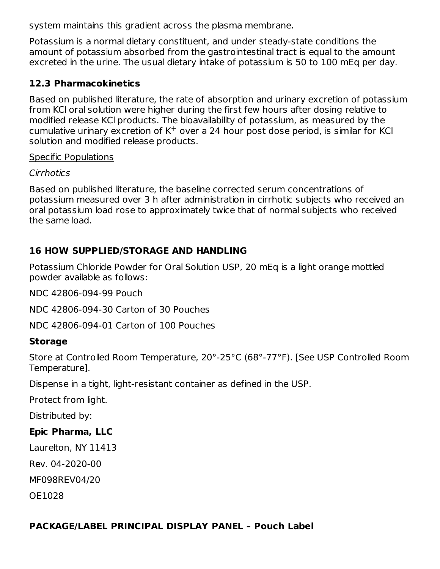system maintains this gradient across the plasma membrane.

Potassium is a normal dietary constituent, and under steady-state conditions the amount of potassium absorbed from the gastrointestinal tract is equal to the amount excreted in the urine. The usual dietary intake of potassium is 50 to 100 mEq per day.

### **12.3 Pharmacokinetics**

Based on published literature, the rate of absorption and urinary excretion of potassium from KCl oral solution were higher during the first few hours after dosing relative to modified release KCl products. The bioavailability of potassium, as measured by the cumulative urinary excretion of  $K<sup>+</sup>$  over a 24 hour post dose period, is similar for KCI solution and modified release products.

#### Specific Populations

### **Cirrhotics**

Based on published literature, the baseline corrected serum concentrations of potassium measured over 3 h after administration in cirrhotic subjects who received an oral potassium load rose to approximately twice that of normal subjects who received the same load.

## **16 HOW SUPPLIED/STORAGE AND HANDLING**

Potassium Chloride Powder for Oral Solution USP, 20 mEq is a light orange mottled powder available as follows:

NDC 42806-094-99 Pouch

NDC 42806-094-30 Carton of 30 Pouches

NDC 42806-094-01 Carton of 100 Pouches

### **Storage**

Store at Controlled Room Temperature, 20°-25°C (68°-77°F). [See USP Controlled Room Temperature].

Dispense in a tight, light-resistant container as defined in the USP.

Protect from light.

Distributed by:

## **Epic Pharma, LLC**

Laurelton, NY 11413

Rev. 04-2020-00

MF098REV04/20

OE1028

## **PACKAGE/LABEL PRINCIPAL DISPLAY PANEL – Pouch Label**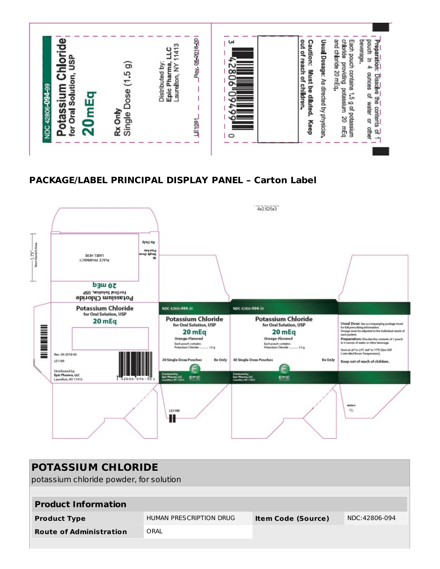

### **PACKAGE/LABEL PRINCIPAL DISPLAY PANEL – Carton Label**



| <b>POTASSIUM CHLORIDE</b>               |                         |                           |               |  |  |  |  |  |
|-----------------------------------------|-------------------------|---------------------------|---------------|--|--|--|--|--|
| potassium chloride powder, for solution |                         |                           |               |  |  |  |  |  |
|                                         |                         |                           |               |  |  |  |  |  |
| <b>Product Information</b>              |                         |                           |               |  |  |  |  |  |
| <b>Product Type</b>                     | HUMAN PRESCRIPTION DRUG | <b>Item Code (Source)</b> | NDC:42806-094 |  |  |  |  |  |
| <b>Route of Administration</b>          | ORAL                    |                           |               |  |  |  |  |  |
|                                         |                         |                           |               |  |  |  |  |  |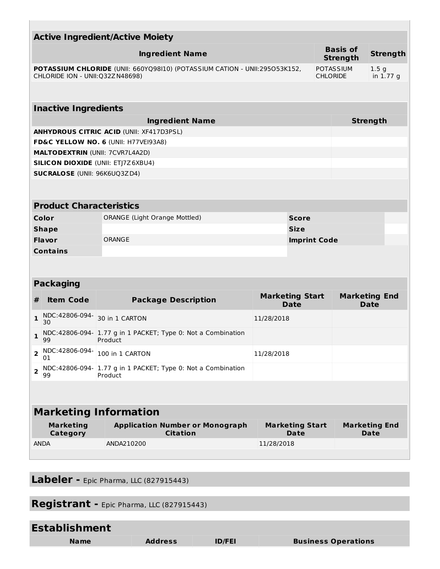| <b>Active Ingredient/Active Moiety</b>                                                                          |                                     |                                                                         |                                       |                                       |                                     |                              |  |  |  |
|-----------------------------------------------------------------------------------------------------------------|-------------------------------------|-------------------------------------------------------------------------|---------------------------------------|---------------------------------------|-------------------------------------|------------------------------|--|--|--|
|                                                                                                                 |                                     | <b>Ingredient Name</b>                                                  |                                       |                                       | <b>Basis of</b><br><b>Strength</b>  | <b>Strength</b>              |  |  |  |
| POTASSIUM CHLORIDE (UNII: 660YQ98I10) (POTASSIUM CATION - UNII:295053K152,<br>CHLORIDE ION - UNII: 032Z N48698) |                                     |                                                                         |                                       | <b>POTASSIUM</b><br><b>CHLORIDE</b>   | 1.5 <sub>g</sub><br>in 1.77 g       |                              |  |  |  |
|                                                                                                                 |                                     |                                                                         |                                       |                                       |                                     |                              |  |  |  |
| <b>Inactive Ingredients</b>                                                                                     |                                     |                                                                         |                                       |                                       |                                     |                              |  |  |  |
|                                                                                                                 |                                     | <b>Ingredient Name</b>                                                  |                                       |                                       | <b>Strength</b>                     |                              |  |  |  |
|                                                                                                                 |                                     | <b>ANHYDROUS CITRIC ACID (UNII: XF417D3PSL)</b>                         |                                       |                                       |                                     |                              |  |  |  |
|                                                                                                                 |                                     | FD&C YELLOW NO. 6 (UNII: H77VEI93A8)                                    |                                       |                                       |                                     |                              |  |  |  |
|                                                                                                                 |                                     | <b>MALTODEXTRIN (UNII: 7CVR7L4A2D)</b>                                  |                                       |                                       |                                     |                              |  |  |  |
|                                                                                                                 |                                     | <b>SILICON DIOXIDE (UNII: ETJ7Z6XBU4)</b>                               |                                       |                                       |                                     |                              |  |  |  |
|                                                                                                                 | <b>SUCRALOSE (UNII: 96K6UQ3ZD4)</b> |                                                                         |                                       |                                       |                                     |                              |  |  |  |
|                                                                                                                 |                                     |                                                                         |                                       |                                       |                                     |                              |  |  |  |
|                                                                                                                 | <b>Product Characteristics</b>      |                                                                         |                                       |                                       |                                     |                              |  |  |  |
|                                                                                                                 | Color                               | <b>ORANGE (Light Orange Mottled)</b>                                    |                                       | <b>Score</b>                          |                                     |                              |  |  |  |
| <b>Shape</b>                                                                                                    |                                     | <b>Size</b>                                                             |                                       |                                       |                                     |                              |  |  |  |
|                                                                                                                 | Flavor                              | ORANGE<br><b>Imprint Code</b>                                           |                                       |                                       |                                     |                              |  |  |  |
|                                                                                                                 | <b>Contains</b>                     |                                                                         |                                       |                                       |                                     |                              |  |  |  |
|                                                                                                                 |                                     |                                                                         |                                       |                                       |                                     |                              |  |  |  |
|                                                                                                                 |                                     |                                                                         |                                       |                                       |                                     |                              |  |  |  |
|                                                                                                                 | <b>Packaging</b>                    |                                                                         |                                       |                                       |                                     |                              |  |  |  |
| #                                                                                                               | <b>Item Code</b>                    | <b>Package Description</b>                                              | <b>Marketing Start</b><br><b>Date</b> |                                       | <b>Marketing End</b><br><b>Date</b> |                              |  |  |  |
| 1                                                                                                               | NDC:42806-094-<br>30                | 30 in 1 CARTON                                                          | 11/28/2018                            |                                       |                                     |                              |  |  |  |
| 1                                                                                                               | 99                                  | NDC:42806-094- 1.77 g in 1 PACKET; Type 0: Not a Combination<br>Product |                                       |                                       |                                     |                              |  |  |  |
| $\overline{2}$                                                                                                  | NDC:42806-094-<br>01                | 100 in 1 CARTON                                                         | 11/28/2018                            |                                       |                                     |                              |  |  |  |
| $\overline{2}$                                                                                                  | 99                                  | NDC:42806-094- 1.77 g in 1 PACKET; Type 0: Not a Combination<br>Product |                                       |                                       |                                     |                              |  |  |  |
|                                                                                                                 |                                     |                                                                         |                                       |                                       |                                     |                              |  |  |  |
| <b>Marketing Information</b>                                                                                    |                                     |                                                                         |                                       |                                       |                                     |                              |  |  |  |
|                                                                                                                 |                                     |                                                                         |                                       |                                       |                                     |                              |  |  |  |
|                                                                                                                 | <b>Marketing</b><br><b>Category</b> | <b>Application Number or Monograph</b><br><b>Citation</b>               |                                       | <b>Marketing Start</b><br><b>Date</b> |                                     | <b>Marketing End</b><br>Date |  |  |  |
|                                                                                                                 | ANDA                                | ANDA210200                                                              | 11/28/2018                            |                                       |                                     |                              |  |  |  |
|                                                                                                                 |                                     |                                                                         |                                       |                                       |                                     |                              |  |  |  |

**Labeler -** Epic Pharma, LLC (827915443)

U.

**Registrant -** Epic Pharma, LLC (827915443)

| <b>Establishment</b> |                |               |                            |
|----------------------|----------------|---------------|----------------------------|
| <b>Name</b>          | <b>Address</b> | <b>ID/FEI</b> | <b>Business Operations</b> |